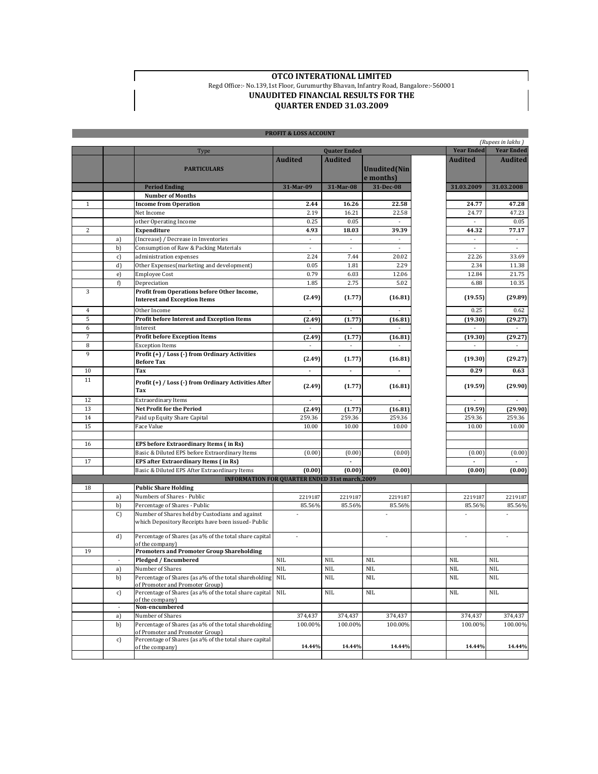## **OTCO INTERATIONAL LIMITED** Regd Office:- No.139,1st Floor, Gurumurthy Bhavan, Infantry Road, Bangalore:-560001 **UNAUDITED FINANCIAL RESULTS FOR THE QUARTER ENDED 31.03.2009**

| <b>PROFIT &amp; LOSS ACCOUNT</b> |                          |                                                                                                                                                    |                          |                          |                           |                          |                          |  |  |  |  |
|----------------------------------|--------------------------|----------------------------------------------------------------------------------------------------------------------------------------------------|--------------------------|--------------------------|---------------------------|--------------------------|--------------------------|--|--|--|--|
|                                  |                          |                                                                                                                                                    |                          | (Rupees in lakhs)        |                           |                          |                          |  |  |  |  |
|                                  |                          | Type                                                                                                                                               | <b>Ouater Ended</b>      |                          |                           | <b>Year Ended</b>        | <b>Year Ended</b>        |  |  |  |  |
|                                  |                          | <b>PARTICULARS</b>                                                                                                                                 | <b>Audited</b>           | <b>Audited</b>           | Unudited(Nin<br>e months) | <b>Audited</b>           | <b>Audited</b>           |  |  |  |  |
|                                  |                          | <b>Period Ending</b>                                                                                                                               | 31-Mar-09                | 31-Mar-08                | 31-Dec-08                 | 31.03.2009               | 31.03.2008               |  |  |  |  |
|                                  |                          | <b>Number of Months</b>                                                                                                                            |                          |                          |                           |                          |                          |  |  |  |  |
| $\mathbf{1}$                     |                          | <b>Income from Operation</b>                                                                                                                       | 2.44                     | 16.26                    | 22.58                     | 24.77                    | 47.28                    |  |  |  |  |
|                                  |                          | Net Income                                                                                                                                         | 2.19                     | 16.21                    | 22.58                     | 24.77                    | 47.23                    |  |  |  |  |
|                                  |                          | other Operating Income                                                                                                                             | 0.25                     | 0.05                     |                           |                          | 0.05                     |  |  |  |  |
| $\overline{c}$                   |                          | <b>Expenditure</b>                                                                                                                                 | 4.93                     | 18.03                    | 39.39                     | 44.32                    | 77.17                    |  |  |  |  |
|                                  | a)                       | (Increase) / Decrease in Inventories                                                                                                               | ÷,                       |                          | $\overline{\phantom{a}}$  |                          | ÷.                       |  |  |  |  |
|                                  | b)                       | Consumption of Raw & Packing Materials                                                                                                             |                          |                          |                           |                          |                          |  |  |  |  |
|                                  | c)                       | administration expenses                                                                                                                            | 2.24                     | 7.44                     | 20.02                     | 22.26                    | 33.69                    |  |  |  |  |
|                                  | d)                       | Other Expenses (marketing and development)                                                                                                         | 0.05                     | 1.81                     | 2.29                      | 2.34                     | 11.38                    |  |  |  |  |
|                                  | e)                       | <b>Employee Cost</b>                                                                                                                               | 0.79                     | 6.03                     | 12.06                     | 12.84                    | 21.75                    |  |  |  |  |
|                                  | f)                       | Depreciation                                                                                                                                       | 1.85                     | 2.75                     | 5.02                      | 6.88                     | 10.35                    |  |  |  |  |
| 3                                |                          | Profit from Operations before Other Income,<br><b>Interest and Exception Items</b>                                                                 | (2.49)                   | (1.77)                   | (16.81)                   | (19.55)                  | (29.89)                  |  |  |  |  |
| 4                                |                          | Other Income                                                                                                                                       | ÷                        | $\overline{\phantom{a}}$ | $\overline{\phantom{a}}$  | 0.25                     | 0.62                     |  |  |  |  |
| 5                                |                          | Profit before Interest and Exception Items                                                                                                         | (2.49)                   | (1.77)                   | (16.81)                   | (19.30)                  | (29.27)                  |  |  |  |  |
| 6                                |                          | Interest                                                                                                                                           | ÷                        | $\overline{\phantom{a}}$ | $\sim$                    |                          |                          |  |  |  |  |
| 7                                |                          | <b>Profit before Exception Items</b>                                                                                                               | (2.49)                   | (1.77)                   | (16.81)                   | (19.30)                  | (29.27)                  |  |  |  |  |
| 8                                |                          | <b>Exception Items</b>                                                                                                                             | $\overline{\phantom{a}}$ | $\overline{\phantom{a}}$ | $\overline{\phantom{a}}$  | $\overline{\phantom{a}}$ | $\overline{\phantom{a}}$ |  |  |  |  |
| 9                                |                          | Profit (+) / Loss (-) from Ordinary Activities<br><b>Before Tax</b>                                                                                | (2.49)                   | (1.77)                   | (16.81)                   | (19.30)                  | (29.27)                  |  |  |  |  |
| 10                               |                          | Tax                                                                                                                                                |                          |                          |                           | 0.29                     | 0.63                     |  |  |  |  |
| 11                               |                          | Profit (+) / Loss (-) from Ordinary Activities After<br>Tax                                                                                        | (2.49)                   | (1.77)                   | (16.81)                   | (19.59)                  | (29.90)                  |  |  |  |  |
| 12                               |                          | <b>Extraordinary Items</b>                                                                                                                         |                          |                          |                           |                          |                          |  |  |  |  |
| 13                               |                          | <b>Net Profit for the Period</b>                                                                                                                   | (2.49)                   | (1.77)                   | (16.81)                   | (19.59)                  | (29.90)                  |  |  |  |  |
| 14                               |                          | Paid up Equity Share Capital                                                                                                                       | 259.36                   | 259.36                   | 259.36                    | 259.36                   | 259.36                   |  |  |  |  |
| 15                               |                          | Face Value                                                                                                                                         | 10.00                    | 10.00                    | 10.00                     | 10.00                    | 10.00                    |  |  |  |  |
|                                  |                          |                                                                                                                                                    |                          |                          |                           |                          |                          |  |  |  |  |
| 16                               |                          | EPS before Extraordinary Items (in Rs)                                                                                                             |                          |                          |                           |                          |                          |  |  |  |  |
|                                  |                          | Basic & Diluted EPS before Extraordinary Items                                                                                                     | (0.00)                   | (0.00)                   | (0.00)                    | (0.00)                   | (0.00)                   |  |  |  |  |
| 17                               |                          | EPS after Extraordinary Items (in Rs)                                                                                                              |                          | ÷,                       |                           |                          |                          |  |  |  |  |
|                                  |                          | Basic & Diluted EPS After Extraordinary Items                                                                                                      | (0.00)                   | (0.00)                   | (0.00)                    | (0.00)                   | (0.00)                   |  |  |  |  |
|                                  |                          | <b>INFORMATION FOR QUARTER ENDED 31st march, 2009</b>                                                                                              |                          |                          |                           |                          |                          |  |  |  |  |
| 18                               |                          | <b>Public Share Holding</b>                                                                                                                        |                          |                          |                           |                          |                          |  |  |  |  |
|                                  | a)                       | Numbers of Shares - Public                                                                                                                         | 2219187                  | 2219187                  | 2219187                   | 2219187                  | 2219187                  |  |  |  |  |
|                                  | b)                       | Percentage of Shares - Public                                                                                                                      | 85.56%                   | 85.56%                   | 85.56%                    | 85.56%                   | 85.56%                   |  |  |  |  |
|                                  | $\mathcal{C}$            | Number of Shares held by Custodians and against<br>which Depository Receipts have been issued-Public                                               | ÷,                       |                          |                           |                          |                          |  |  |  |  |
|                                  | d)                       | Percentage of Shares (as a% of the total share capital<br>of the company)                                                                          | $\overline{\phantom{a}}$ |                          |                           |                          |                          |  |  |  |  |
| 19                               |                          | <b>Promoters and Promoter Group Shareholding</b>                                                                                                   |                          |                          |                           |                          |                          |  |  |  |  |
|                                  |                          | Pledged / Encumbered                                                                                                                               | NIL                      | NIL                      | NIL                       | NIL                      | NIL                      |  |  |  |  |
|                                  | a)                       | Number of Shares                                                                                                                                   | <b>NIL</b>               | <b>NIL</b>               | NIL                       | NIL                      | NIL                      |  |  |  |  |
|                                  | b)                       | Percentage of Shares (as a% of the total shareholding NIL<br>of Promoter and Promoter Group)                                                       |                          | $\rm NIL$                | NIL                       | NIL                      | NIL                      |  |  |  |  |
|                                  | c)                       | Percentage of Shares (as a% of the total share capital<br>of the company)                                                                          | <b>NIL</b>               | $\rm NIL$                | NIL                       | NIL.                     | NIL                      |  |  |  |  |
|                                  | $\overline{\phantom{a}}$ | Non-encumbered                                                                                                                                     |                          |                          |                           |                          |                          |  |  |  |  |
|                                  | a)                       | Number of Shares                                                                                                                                   | 374,437                  | 374,437                  | 374,437                   | 374,437                  | 374,437                  |  |  |  |  |
|                                  | b)                       | Percentage of Shares (as a% of the total shareholding<br>of Promoter and Promoter Group)<br>Percentage of Shares (as a% of the total share capital | 100.00%                  | 100.00%                  | 100.00%                   | 100.00%                  | 100.00%                  |  |  |  |  |
|                                  | c)                       | of the company)                                                                                                                                    | 14.44%                   | 14.44%                   | 14.44%                    | 14.44%                   | 14.44%                   |  |  |  |  |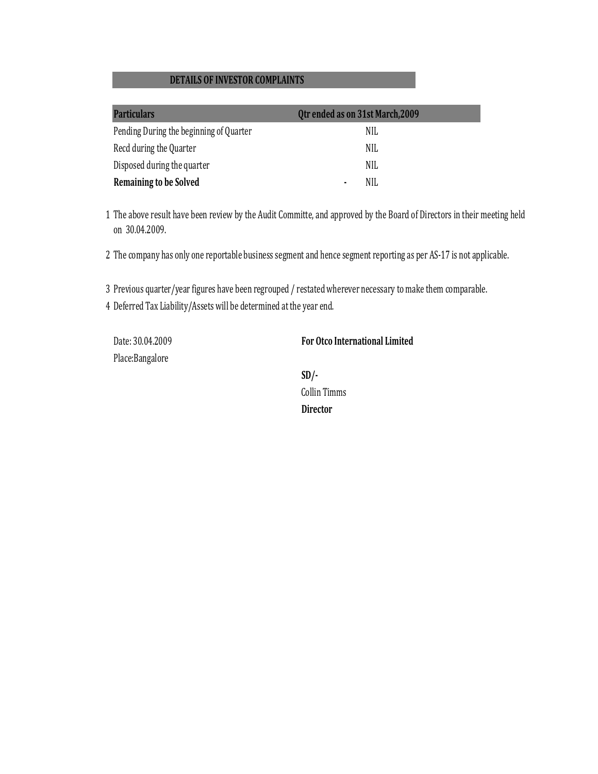## **DETAILS OF INVESTOR COMPLAINTS**

| <b>Particulars</b>                      | Qtr ended as on 31st March, 2009 |
|-----------------------------------------|----------------------------------|
| Pending During the beginning of Quarter | NIL                              |
| Recd during the Quarter                 | NIL                              |
| Disposed during the quarter             | NIL                              |
| <b>Remaining to be Solved</b>           | NIL<br>٠                         |

1 The above result have been review by the Audit Committe, and approved by the Board of Directors in their meeting held on 30.04.2009.

2 The company has only one reportable business segment and hence segment reporting as per AS-17 is not applicable.

3 Previous quarter/year figures have been regrouped / restated wherever necessary to make them comparable.

4 Deferred Tax Liability/Assets will be determined at the year end.

Place:Bangalore

Date: 30.04.2009 **For Otco International Limited**

**SD/-** Collin Timms **Director**